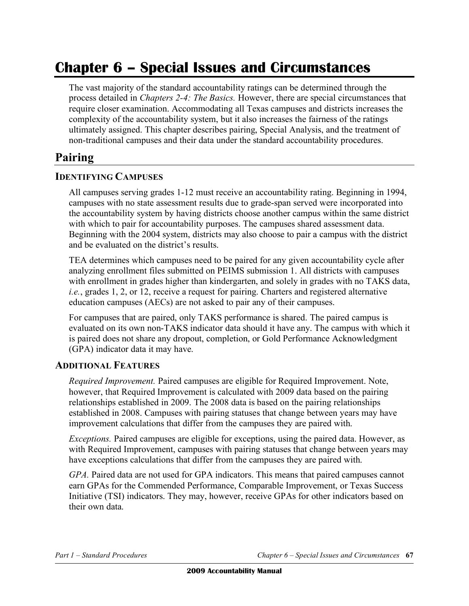# **Chapter 6 – Special Issues and Circumstances**

The vast majority of the standard accountability ratings can be determined through the process detailed in *Chapters 2-4: The Basics.* However, there are special circumstances that require closer examination. Accommodating all Texas campuses and districts increases the complexity of the accountability system, but it also increases the fairness of the ratings ultimately assigned. This chapter describes pairing, Special Analysis, and the treatment of non-traditional campuses and their data under the standard accountability procedures.

## **Pairing**

#### **IDENTIFYING CAMPUSES**

All campuses serving grades 1-12 must receive an accountability rating. Beginning in 1994, campuses with no state assessment results due to grade-span served were incorporated into the accountability system by having districts choose another campus within the same district with which to pair for accountability purposes. The campuses shared assessment data. Beginning with the 2004 system, districts may also choose to pair a campus with the district and be evaluated on the district's results.

TEA determines which campuses need to be paired for any given accountability cycle after analyzing enrollment files submitted on PEIMS submission 1. All districts with campuses with enrollment in grades higher than kindergarten, and solely in grades with no TAKS data, *i.e.*, grades 1, 2, or 12, receive a request for pairing. Charters and registered alternative education campuses (AECs) are not asked to pair any of their campuses.

For campuses that are paired, only TAKS performance is shared. The paired campus is evaluated on its own non-TAKS indicator data should it have any. The campus with which it is paired does not share any dropout, completion, or Gold Performance Acknowledgment (GPA) indicator data it may have.

#### **ADDITIONAL FEATURES**

*Required Improvement.* Paired campuses are eligible for Required Improvement. Note, however, that Required Improvement is calculated with 2009 data based on the pairing relationships established in 2009. The 2008 data is based on the pairing relationships established in 2008. Campuses with pairing statuses that change between years may have improvement calculations that differ from the campuses they are paired with.

*Exceptions.* Paired campuses are eligible for exceptions, using the paired data. However, as with Required Improvement, campuses with pairing statuses that change between years may have exceptions calculations that differ from the campuses they are paired with.

*GPA*. Paired data are not used for GPA indicators. This means that paired campuses cannot earn GPAs for the Commended Performance, Comparable Improvement, or Texas Success Initiative (TSI) indicators. They may, however, receive GPAs for other indicators based on their own data.

*Part 1 – Standard Procedures Chapter 6 – Special Issues and Circumstances* **67**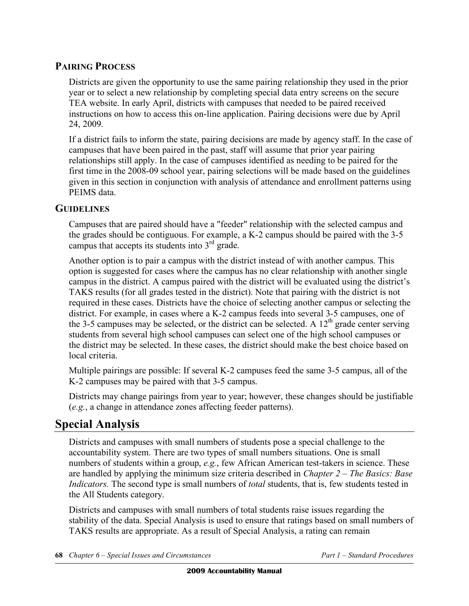### **PAIRING PROCESS**

Districts are given the opportunity to use the same pairing relationship they used in the prior year or to select a new relationship by completing special data entry screens on the secure TEA website. In early April, districts with campuses that needed to be paired received instructions on how to access this on-line application. Pairing decisions were due by April 24, 2009.

If a district fails to inform the state, pairing decisions are made by agency staff. In the case of campuses that have been paired in the past, staff will assume that prior year pairing relationships still apply. In the case of campuses identified as needing to be paired for the first time in the 2008-09 school year, pairing selections will be made based on the guidelines given in this section in conjunction with analysis of attendance and enrollment patterns using PEIMS data.

### **GUIDELINES**

Campuses that are paired should have a "feeder" relationship with the selected campus and the grades should be contiguous. For example, a K-2 campus should be paired with the 3-5 campus that accepts its students into  $3<sup>rd</sup>$  grade.

Another option is to pair a campus with the district instead of with another campus. This option is suggested for cases where the campus has no clear relationship with another single campus in the district. A campus paired with the district will be evaluated using the district's TAKS results (for all grades tested in the district). Note that pairing with the district is not required in these cases. Districts have the choice of selecting another campus or selecting the district. For example, in cases where a K-2 campus feeds into several 3-5 campuses, one of the 3-5 campuses may be selected, or the district can be selected. A  $12<sup>th</sup>$  grade center serving students from several high school campuses can select one of the high school campuses or the district may be selected. In these cases, the district should make the best choice based on local criteria.

Multiple pairings are possible: If several K-2 campuses feed the same 3-5 campus, all of the K-2 campuses may be paired with that 3-5 campus.

Districts may change pairings from year to year; however, these changes should be justifiable (*e.g.*, a change in attendance zones affecting feeder patterns).

# **Special Analysis**

Districts and campuses with small numbers of students pose a special challenge to the accountability system. There are two types of small numbers situations. One is small numbers of students within a group, *e.g.*, few African American test-takers in science. These are handled by applying the minimum size criteria described in *Chapter 2 – The Basics: Base Indicators.* The second type is small numbers of *total* students, that is, few students tested in the All Students category.

Districts and campuses with small numbers of total students raise issues regarding the stability of the data. Special Analysis is used to ensure that ratings based on small numbers of TAKS results are appropriate. As a result of Special Analysis, a rating can remain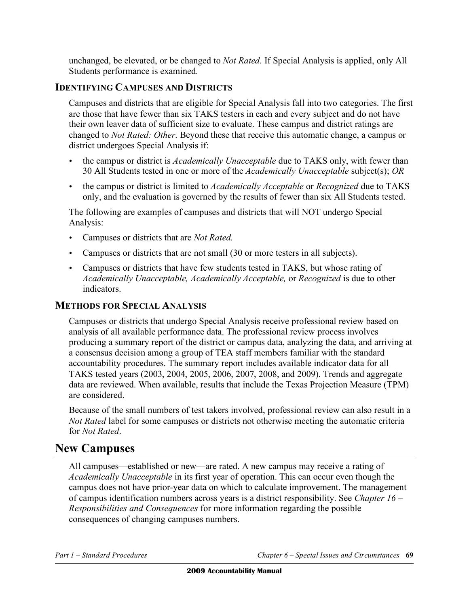unchanged, be elevated, or be changed to *Not Rated.* If Special Analysis is applied, only All Students performance is examined.

### **IDENTIFYING CAMPUSES AND DISTRICTS**

Campuses and districts that are eligible for Special Analysis fall into two categories. The first are those that have fewer than six TAKS testers in each and every subject and do not have their own leaver data of sufficient size to evaluate. These campus and district ratings are changed to *Not Rated: Other*. Beyond these that receive this automatic change, a campus or district undergoes Special Analysis if:

- the campus or district is *Academically Unacceptable* due to TAKS only, with fewer than 30 All Students tested in one or more of the *Academically Unacceptable* subject(s); *OR*
- • the campus or district is limited to *Academically Acceptable* or *Recognized* due to TAKS only, and the evaluation is governed by the results of fewer than six All Students tested.

The following are examples of campuses and districts that will NOT undergo Special Analysis:

- • Campuses or districts that are *Not Rated.*
- Campuses or districts that are not small (30 or more testers in all subjects).
- Campuses or districts that have few students tested in TAKS, but whose rating of *Academically Unacceptable, Academically Acceptable,* or *Recognized* is due to other indicators.

### **METHODS FOR SPECIAL ANALYSIS**

Campuses or districts that undergo Special Analysis receive professional review based on analysis of all available performance data. The professional review process involves producing a summary report of the district or campus data, analyzing the data, and arriving at a consensus decision among a group of TEA staff members familiar with the standard accountability procedures. The summary report includes available indicator data for all TAKS tested years (2003, 2004, 2005, 2006, 2007, 2008, and 2009). Trends and aggregate data are reviewed. When available, results that include the Texas Projection Measure (TPM) are considered.

Because of the small numbers of test takers involved, professional review can also result in a *Not Rated* label for some campuses or districts not otherwise meeting the automatic criteria for *Not Rated*.

### **New Campuses**

All campuses—established or new—are rated. A new campus may receive a rating of *Academically Unacceptable* in its first year of operation. This can occur even though the campus does not have prior-year data on which to calculate improvement. The management of campus identification numbers across years is a district responsibility. See *Chapter 16 – Responsibilities and Consequences* for more information regarding the possible consequences of changing campuses numbers.

*Part 1 – Standard Procedures Chapter 6 – Special Issues and Circumstances* **69**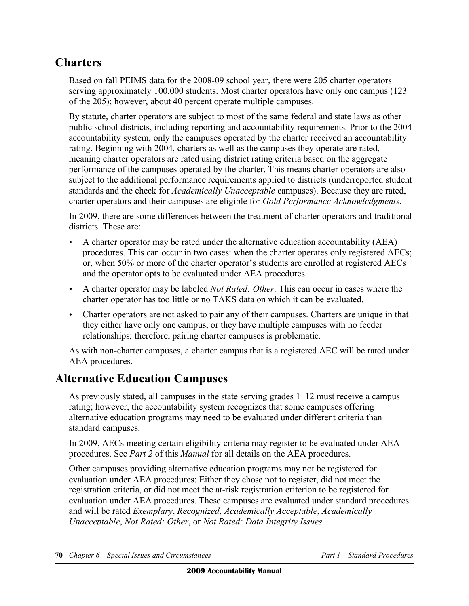# **Charters**

Based on fall PEIMS data for the 2008-09 school year, there were 205 charter operators serving approximately 100,000 students. Most charter operators have only one campus (123) of the 205); however, about 40 percent operate multiple campuses.

By statute, charter operators are subject to most of the same federal and state laws as other public school districts, including reporting and accountability requirements. Prior to the 2004 accountability system, only the campuses operated by the charter received an accountability rating. Beginning with 2004, charters as well as the campuses they operate are rated, meaning charter operators are rated using district rating criteria based on the aggregate performance of the campuses operated by the charter. This means charter operators are also subject to the additional performance requirements applied to districts (underreported student standards and the check for *Academically Unacceptable* campuses). Because they are rated, charter operators and their campuses are eligible for *Gold Performance Acknowledgments*.

In 2009, there are some differences between the treatment of charter operators and traditional districts. These are:

- A charter operator may be rated under the alternative education accountability (AEA) procedures. This can occur in two cases: when the charter operates only registered AECs; or, when 50% or more of the charter operator's students are enrolled at registered AECs and the operator opts to be evaluated under AEA procedures.
- • A charter operator may be labeled *Not Rated: Other*. This can occur in cases where the charter operator has too little or no TAKS data on which it can be evaluated.
- Charter operators are not asked to pair any of their campuses. Charters are unique in that they either have only one campus, or they have multiple campuses with no feeder relationships; therefore, pairing charter campuses is problematic.

As with non-charter campuses, a charter campus that is a registered AEC will be rated under AEA procedures.

# **Alternative Education Campuses**

As previously stated, all campuses in the state serving grades 1–12 must receive a campus rating; however, the accountability system recognizes that some campuses offering alternative education programs may need to be evaluated under different criteria than standard campuses.

In 2009, AECs meeting certain eligibility criteria may register to be evaluated under AEA procedures. See *Part 2* of this *Manual* for all details on the AEA procedures.

Other campuses providing alternative education programs may not be registered for evaluation under AEA procedures: Either they chose not to register, did not meet the registration criteria, or did not meet the at-risk registration criterion to be registered for evaluation under AEA procedures. These campuses are evaluated under standard procedures and will be rated *Exemplary*, *Recognized*, *Academically Acceptable*, *Academically Unacceptable*, *Not Rated: Other*, or *Not Rated: Data Integrity Issues*.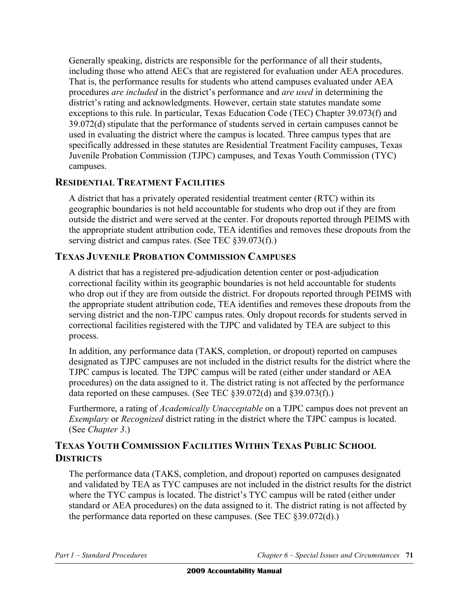Generally speaking, districts are responsible for the performance of all their students, including those who attend AECs that are registered for evaluation under AEA procedures. That is, the performance results for students who attend campuses evaluated under AEA procedures *are included* in the district's performance and *are used* in determining the district's rating and acknowledgments. However, certain state statutes mandate some exceptions to this rule. In particular, Texas Education Code (TEC) Chapter 39.073(f) and 39.072(d) stipulate that the performance of students served in certain campuses cannot be used in evaluating the district where the campus is located. Three campus types that are specifically addressed in these statutes are Residential Treatment Facility campuses, Texas Juvenile Probation Commission (TJPC) campuses, and Texas Youth Commission (TYC) campuses.

### **RESIDENTIAL TREATMENT FACILITIES**

A district that has a privately operated residential treatment center (RTC) within its geographic boundaries is not held accountable for students who drop out if they are from outside the district and were served at the center. For dropouts reported through PEIMS with the appropriate student attribution code, TEA identifies and removes these dropouts from the serving district and campus rates. (See TEC §39.073(f).)

### **TEXAS JUVENILE PROBATION COMMISSION CAMPUSES**

A district that has a registered pre-adjudication detention center or post-adjudication correctional facility within its geographic boundaries is not held accountable for students who drop out if they are from outside the district. For dropouts reported through PEIMS with the appropriate student attribution code, TEA identifies and removes these dropouts from the serving district and the non-TJPC campus rates. Only dropout records for students served in correctional facilities registered with the TJPC and validated by TEA are subject to this process.

In addition, any performance data (TAKS, completion, or dropout) reported on campuses designated as TJPC campuses are not included in the district results for the district where the TJPC campus is located. The TJPC campus will be rated (either under standard or AEA procedures) on the data assigned to it. The district rating is not affected by the performance data reported on these campuses. (See TEC §39.072(d) and §39.073(f).)

Furthermore, a rating of *Academically Unacceptable* on a TJPC campus does not prevent an *Exemplary* or *Recognized* district rating in the district where the TJPC campus is located. (See *Chapter 3*.)

### **TEXAS YOUTH COMMISSION FACILITIES WITHIN TEXAS PUBLIC SCHOOL DISTRICTS**

The performance data (TAKS, completion, and dropout) reported on campuses designated and validated by TEA as TYC campuses are not included in the district results for the district where the TYC campus is located. The district's TYC campus will be rated (either under standard or AEA procedures) on the data assigned to it. The district rating is not affected by the performance data reported on these campuses. (See TEC §39.072(d).)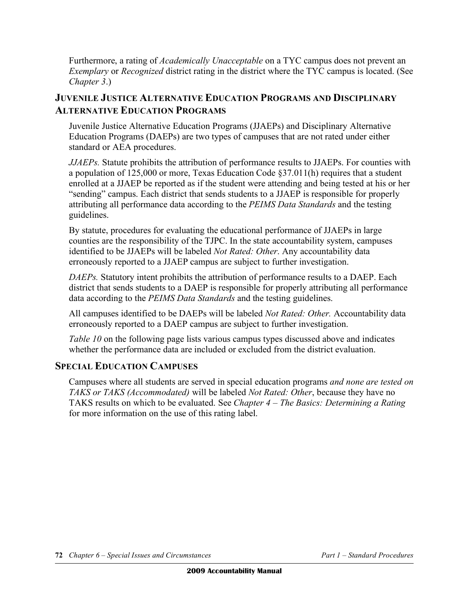Furthermore, a rating of *Academically Unacceptable* on a TYC campus does not prevent an *Exemplary* or *Recognized* district rating in the district where the TYC campus is located. (See *Chapter 3*.)

### **JUVENILE JUSTICE ALTERNATIVE EDUCATION PROGRAMS AND DISCIPLINARY ALTERNATIVE EDUCATION PROGRAMS**

Juvenile Justice Alternative Education Programs (JJAEPs) and Disciplinary Alternative Education Programs (DAEPs) are two types of campuses that are not rated under either standard or AEA procedures.

*JJAEPs.* Statute prohibits the attribution of performance results to JJAEPs. For counties with a population of 125,000 or more, Texas Education Code §37.011(h) requires that a student enrolled at a JJAEP be reported as if the student were attending and being tested at his or her "sending" campus. Each district that sends students to a JJAEP is responsible for properly attributing all performance data according to the *PEIMS Data Standards* and the testing guidelines.

By statute, procedures for evaluating the educational performance of JJAEPs in large counties are the responsibility of the TJPC. In the state accountability system, campuses identified to be JJAEPs will be labeled *Not Rated: Other*. Any accountability data erroneously reported to a JJAEP campus are subject to further investigation.

*DAEPs.* Statutory intent prohibits the attribution of performance results to a DAEP. Each district that sends students to a DAEP is responsible for properly attributing all performance data according to the *PEIMS Data Standards* and the testing guidelines.

All campuses identified to be DAEPs will be labeled *Not Rated: Other.* Accountability data erroneously reported to a DAEP campus are subject to further investigation.

*Table 10* on the following page lists various campus types discussed above and indicates whether the performance data are included or excluded from the district evaluation.

### **SPECIAL EDUCATION CAMPUSES**

Campuses where all students are served in special education programs *and none are tested on TAKS or TAKS (Accommodated)* will be labeled *Not Rated: Other*, because they have no TAKS results on which to be evaluated. See *Chapter 4 – The Basics: Determining a Rating*  for more information on the use of this rating label.